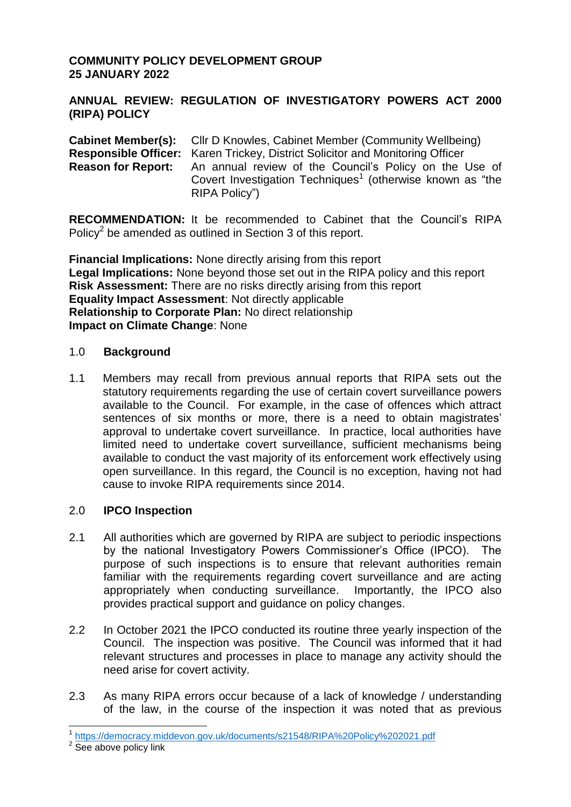# **COMMUNITY POLICY DEVELOPMENT GROUP 25 JANUARY 2022**

### **ANNUAL REVIEW: REGULATION OF INVESTIGATORY POWERS ACT 2000 (RIPA) POLICY**

**Cabinet Member(s):** Cllr D Knowles, Cabinet Member (Community Wellbeing) **Responsible Officer:** Karen Trickey, District Solicitor and Monitoring Officer **Reason for Report:** An annual review of the Council's Policy on the Use of Covert Investigation Techniques<sup>1</sup> (otherwise known as "the RIPA Policy")

**RECOMMENDATION:** It be recommended to Cabinet that the Council's RIPA Policy<sup>2</sup> be amended as outlined in Section 3 of this report.

**Financial Implications:** None directly arising from this report **Legal Implications:** None beyond those set out in the RIPA policy and this report **Risk Assessment:** There are no risks directly arising from this report **Equality Impact Assessment**: Not directly applicable **Relationship to Corporate Plan:** No direct relationship **Impact on Climate Change**: None

#### 1.0 **Background**

1.1 Members may recall from previous annual reports that RIPA sets out the statutory requirements regarding the use of certain covert surveillance powers available to the Council. For example, in the case of offences which attract sentences of six months or more, there is a need to obtain magistrates' approval to undertake covert surveillance. In practice, local authorities have limited need to undertake covert surveillance, sufficient mechanisms being available to conduct the vast majority of its enforcement work effectively using open surveillance. In this regard, the Council is no exception, having not had cause to invoke RIPA requirements since 2014.

# 2.0 **IPCO Inspection**

- 2.1 All authorities which are governed by RIPA are subject to periodic inspections by the national Investigatory Powers Commissioner's Office (IPCO). The purpose of such inspections is to ensure that relevant authorities remain familiar with the requirements regarding covert surveillance and are acting appropriately when conducting surveillance. Importantly, the IPCO also provides practical support and guidance on policy changes.
- 2.2 In October 2021 the IPCO conducted its routine three yearly inspection of the Council. The inspection was positive. The Council was informed that it had relevant structures and processes in place to manage any activity should the need arise for covert activity.
- 2.3 As many RIPA errors occur because of a lack of knowledge / understanding of the law, in the course of the inspection it was noted that as previous

 1 <https://democracy.middevon.gov.uk/documents/s21548/RIPA%20Policy%202021.pdf>

<sup>&</sup>lt;sup>2</sup> See above policy link